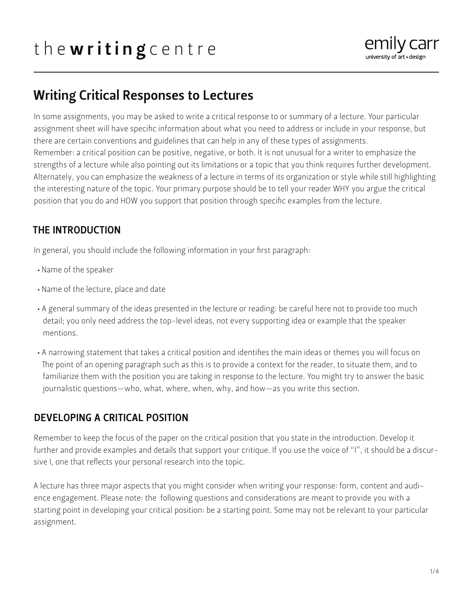# the writing centre



## Writing Critical Responses to Lectures

In some assignments, you may be asked to write a critical response to or summary of a lecture. Your particular assignment sheet will have specific information about what you need to address or include in your response, but there are certain conventions and guidelines that can help in any of these types of assignments. Remember: a critical position can be positive, negative, or both. It is not unusual for a writer to emphasize the strengths of a lecture while also pointing out its limitations or a topic that you think requires further development. Alternately, you can emphasize the weakness of a lecture in terms of its organization or style while still highlighting the interesting nature of the topic. Your primary purpose should be to tell your reader WHY you argue the critical position that you do and HOW you support that position through specific examples from the lecture.

#### THE INTRODUCTION

In general, you should include the following information in your first paragraph:

- Name of the speaker
- Name of the lecture, place and date
- A general summary of the ideas presented in the lecture or reading: be careful here not to provide too much detail; you only need address the top-level ideas, not every supporting idea or example that the speaker mentions.
- A narrowing statement that takes a critical position and identifies the main ideas or themes you will focus on The point of an opening paragraph such as this is to provide a context for the reader, to situate them, and to familiarize them with the position you are taking in response to the lecture. You might try to answer the basic journalistic questions—who, what, where, when, why, and how—as you write this section.

#### DEVELOPING A CRITICAL POSITION

Remember to keep the focus of the paper on the critical position that you state in the introduction. Develop it further and provide examples and details that support your critique. If you use the voice of "I", it should be a discursive I, one that reflects your personal research into the topic.

A lecture has three major aspects that you might consider when writing your response: form, content and audience engagement. Please note: the following questions and considerations are meant to provide you with a starting point in developing your critical position: be a starting point. Some may not be relevant to your particular assignment.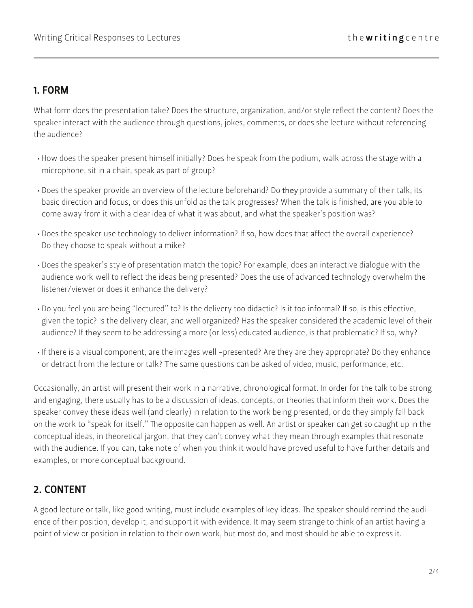#### 1. FORM

What form does the presentation take? Does the structure, organization, and/or style reflect the content? Does the speaker interact with the audience through questions, jokes, comments, or does she lecture without referencing the audience?

- How does the speaker present himself initially? Does he speak from the podium, walk across the stage with a microphone, sit in a chair, speak as part of group?
- Does the speaker provide an overview of the lecture beforehand? Do they provide a summary of their talk, its basic direction and focus, or does this unfold as the talk progresses? When the talk is finished, are you able to come away from it with a clear idea of what it was about, and what the speaker's position was?
- Does the speaker use technology to deliver information? If so, how does that affect the overall experience? Do they choose to speak without a mike?
- Does the speaker's style of presentation match the topic? For example, does an interactive dialogue with the audience work well to reflect the ideas being presented? Does the use of advanced technology overwhelm the listener/viewer or does it enhance the delivery?
- Do you feel you are being "lectured" to? Is the delivery too didactic? Is it too informal? If so, is this effective, given the topic? Is the delivery clear, and well organized? Has the speaker considered the academic level of their audience? If they seem to be addressing a more (or less) educated audience, is that problematic? If so, why?
- If there is a visual component, are the images well -presented? Are they are they appropriate? Do they enhance or detract from the lecture or talk? The same questions can be asked of video, music, performance, etc.

Occasionally, an artist will present their work in a narrative, chronological format. In order for the talk to be strong and engaging, there usually has to be a discussion of ideas, concepts, or theories that inform their work. Does the speaker convey these ideas well (and clearly) in relation to the work being presented, or do they simply fall back on the work to "speak for itself." The opposite can happen as well. An artist or speaker can get so caught up in the conceptual ideas, in theoretical jargon, that they can't convey what they mean through examples that resonate with the audience. If you can, take note of when you think it would have proved useful to have further details and examples, or more conceptual background.

### 2. CONTENT

A good lecture or talk, like good writing, must include examples of key ideas. The speaker should remind the audience of their position, develop it, and support it with evidence. It may seem strange to think of an artist having a point of view or position in relation to their own work, but most do, and most should be able to express it.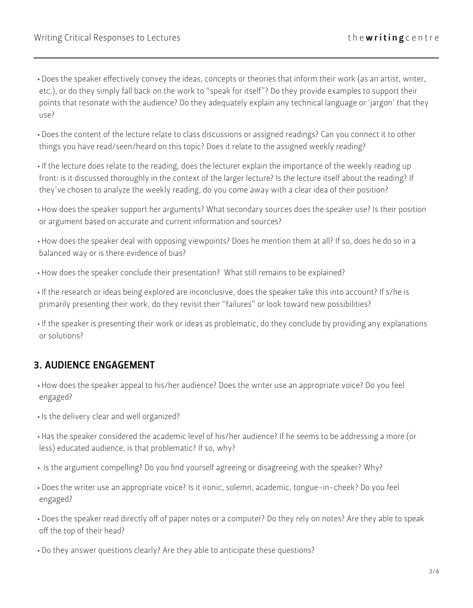- Does the speaker effectively convey the ideas, concepts or theories that inform their work (as an artist, writer, etc.), or do they simply fall back on the work to "speak for itself"? Do they provide examples to support their points that resonate with the audience? Do they adequately explain any technical language or 'jargon' that they use?
- Does the content of the lecture relate to class discussions or assigned readings? Can you connect it to other things you have read/seen/heard on this topic? Does it relate to the assigned weekly reading?
- If the lecture does relate to the reading, does the lecturer explain the importance of the weekly reading up front: is it discussed thoroughly in the context of the larger lecture? Is the lecture itself about the reading? If they've chosen to analyze the weekly reading, do you come away with a clear idea of their position?
- How does the speaker support her arguments? What secondary sources does the speaker use? Is their position or argument based on accurate and current information and sources?
- How does the speaker deal with opposing viewpoints? Does he mention them at all? If so, does he do so in a balanced way or is there evidence of bias?
- How does the speaker conclude their presentation? What still remains to be explained?
- If the research or ideas being explored are inconclusive, does the speaker take this into account? If s/he is primarily presenting their work, do they revisit their "failures" or look toward new possibilities?
- If the speaker is presenting their work or ideas as problematic, do they conclude by providing any explanations or solutions?

#### 3. AUDIENCE ENGAGEMENT

- How does the speaker appeal to his/her audience? Does the writer use an appropriate voice? Do you feel engaged?
- Is the delivery clear and well organized?
- Has the speaker considered the academic level of his/her audience? If he seems to be addressing a more (or less) educated audience, is that problematic? If so, why?
- Is the argument compelling? Do you find yourself agreeing or disagreeing with the speaker? Why?
- Does the writer use an appropriate voice? Is it ironic, solemn, academic, tongue-in-cheek? Do you feel engaged?
- Does the speaker read directly off of paper notes or a computer? Do they rely on notes? Are they able to speak off the top of their head?
- Do they answer questions clearly? Are they able to anticipate these questions?